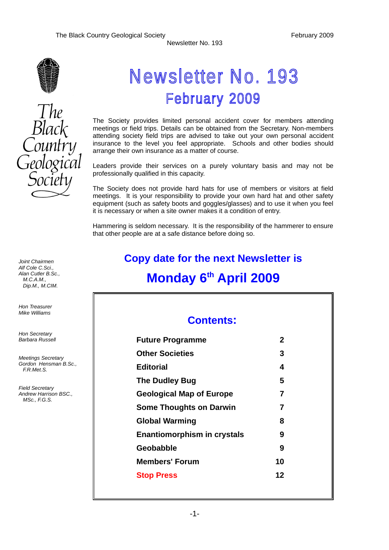

# The<br>Black

# Newsletter No. 193 **February 2009**

The Society provides limited personal accident cover for members attending meetings or field trips. Details can be obtained from the Secretary. Non-members attending society field trips are advised to take out your own personal accident insurance to the level you feel appropriate. Schools and other bodies should arrange their own insurance as a matter of course.

Leaders provide their services on a purely voluntary basis and may not be professionally qualified in this capacity.

The Society does not provide hard hats for use of members or visitors at field meetings. It is your responsibility to provide your own hard hat and other safety equipment (such as safety boots and goggles/glasses) and to use it when you feel it is necessary or when a site owner makes it a condition of entry.

Hammering is seldom necessary. It is the responsibility of the hammerer to ensure that other people are at a safe distance before doing so.

# **Copy date for the next Newsletter is Monday 6th April 2009**

# **Contents:**

| <b>Future Programme</b>            | 2  |
|------------------------------------|----|
| <b>Other Societies</b>             | 3  |
| <b>Editorial</b>                   | 4  |
| <b>The Dudley Bug</b>              | 5  |
| <b>Geological Map of Europe</b>    | 7  |
| <b>Some Thoughts on Darwin</b>     | 7  |
| <b>Global Warming</b>              | 8  |
| <b>Enantiomorphism in crystals</b> | 9  |
| Geobabble                          | 9  |
| <b>Members' Forum</b>              | 10 |
| <b>Stop Press</b>                  | 12 |
|                                    |    |

*Joint Chairmen Alf Cole C.Sci., Alan Cutler B.Sc., M.C.A.M., Dip.M., M.CIM.*

*Hon Treasurer Mike Williams* 

*Hon Secretary Barbara Russell*

*Meetings Secretary Gordon Hensman B.Sc., F.R.Met.S.*

*Field Secretary Andrew Harrison BSC., MSc., F.G.S.*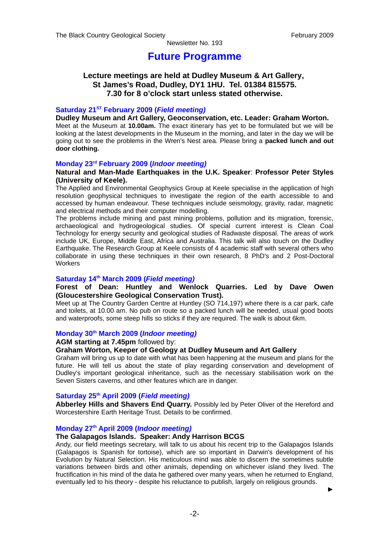### **Future Programme**

### **Lecture meetings are held at Dudley Museum & Art Gallery, St James's Road, Dudley, DY1 1HU. Tel. 01384 815575. 7.30 for 8 o'clock start unless stated otherwise.**

### **Saturday 21ST February 2009 (***Field meeting)*

**Dudley Museum and Art Gallery, Geoconservation, etc. Leader: Graham Worton.** Meet at the Museum at **10.00am.** The exact itinerary has yet to be formulated but we will be looking at the latest developments in the Museum in the morning, and later in the day we will be going out to see the problems in the Wren's Nest area. Please bring a **packed lunch and out door clothing.**

### **Monday 23rd February 2009 (***Indoor meeting)*

### **Natural and Man-Made Earthquakes in the U.K. Speaker**: **Professor Peter Styles (University of Keele).**

The Applied and Environmental Geophysics Group at Keele specialise in the application of high resolution geophysical techniques to investigate the region of the earth accessible to and accessed by human endeavour. These techniques include seismology, gravity, radar, magnetic and electrical methods and their computer modelling.

The problems include mining and past mining problems, pollution and its migration, forensic, archaeological and hydrogeological studies. Of special current interest is Clean Coal Technology for energy security and geological studies of Radwaste disposal. The areas of work include UK, Europe, Middle East, Africa and Australia. This talk will also touch on the Dudley Earthquake. The Research Group at Keele consists of 4 academic staff with several others who collaborate in using these techniques in their own research, 8 PhD's and 2 Post-Doctoral **Workers** 

### **Saturday 14th March 2009 (***Field meeting)*

### **Forest of Dean: Huntley and Wenlock Quarries. Led by Dave Owen (Gloucestershire Geological Conservation Trust).**

Meet up at The Country Garden Centre at Huntley (SO 714,197) where there is a car park, cafe and toilets, at 10.00 am. No pub on route so a packed lunch will be needed, usual good boots and waterproofs, some steep hills so sticks if they are required. The walk is about 6km.

### **Monday 30th March 2009 (***Indoor meeting)*

### **AGM starting at 7.45pm** followed by:

### **Graham Worton, Keeper of Geology at Dudley Museum and Art Gallery**

Graham will bring us up to date with what has been happening at the museum and plans for the future. He will tell us about the state of play regarding conservation and development of Dudley's important geological inheritance, such as the necessary stabilisation work on the Seven Sisters caverns, and other features which are in danger.

### **Saturday 25th April 2009 (***Field meeting)*

**Abberley Hills and Shavers End Quarry.** Possibly led by Peter Oliver of the Hereford and Worcestershire Earth Heritage Trust. Details to be confirmed.

### **Monday 27th April 2009 (***Indoor meeting)*

### **The Galapagos Islands. Speaker: Andy Harrison BCGS**

Andy, our field meetings secretary, will talk to us about his recent trip to the Galapagos Islands (Galapagos is Spanish for tortoise), which are so important in Darwin's development of his Evolution by Natural Selection. His meticulous mind was able to discern the sometimes subtle variations between birds and other animals, depending on whichever island they lived. The fructification in his mind of the data he gathered over many years, when he returned to England, eventually led to his theory - despite his reluctance to publish, largely on religious grounds.

►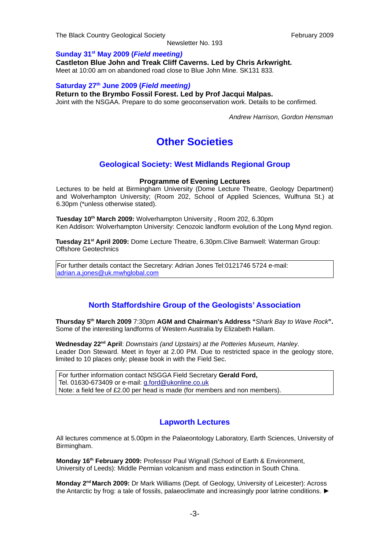The Black Country Geological Society **February 2009** February 2009

Newsletter No. 193

### **Sunday 31st May 2009 (***Field meeting)*

**Castleton Blue John and Treak Cliff Caverns. Led by Chris Arkwright.**

Meet at 10:00 am on abandoned road close to Blue John Mine. SK131 833.

### **Saturday 27th June 2009 (***Field meeting)*

**Return to the Brymbo Fossil Forest. Led by Prof Jacqui Malpas.**

Joint with the NSGAA. Prepare to do some geoconservation work. Details to be confirmed.

*Andrew Harrison, Gordon Hensman*

# **Other Societies**

### **Geological Society: West Midlands Regional Group**

### **Programme of Evening Lectures**

Lectures to be held at Birmingham University (Dome Lecture Theatre, Geology Department) and Wolverhampton University; (Room 202, School of Applied Sciences, Wulfruna St.) at 6.30pm (\*unless otherwise stated).

**Tuesday 10th March 2009:** Wolverhampton University , Room 202, 6.30pm Ken Addison: Wolverhampton University: Cenozoic landform evolution of the Long Mynd region.

**Tuesday 21st April 2009:** Dome Lecture Theatre, 6.30pm.Clive Barnwell: Waterman Group: Offshore Geotechnics

For further details contact the Secretary: Adrian Jones Tel:0121746 5724 e-mail: [adrian.a.jones@uk.mwhglobal.com](mailto:adrian.a.jones@uk.mwhglobal.com)

### **North Staffordshire Group of the Geologists' Association**

**Thursday 5th March 2009** 7:30pm **AGM and Chairman's Address "***Shark Bay to Wave Rock***".** Some of the interesting landforms of Western Australia by Elizabeth Hallam.

**Wednesday 22nd April**: *Downstairs (and Upstairs) at the Potteries Museum, Hanley*. Leader Don Steward. Meet in foyer at 2.00 PM. Due to restricted space in the geology store, limited to 10 places only; please book in with the Field Sec.

For further information contact NSGGA Field Secretary **Gerald Ford,** Tel. 01630-673409 or e-mail: [g.ford@ukonline.co.uk](mailto:g.ford@ukonline.co.uk) Note: a field fee of £2.00 per head is made (for members and non members).

### **Lapworth Lectures**

All lectures commence at 5.00pm in the Palaeontology Laboratory, Earth Sciences, University of Birmingham.

**Monday 16th February 2009:** Professor Paul Wignall (School of Earth & Environment, University of Leeds): Middle Permian volcanism and mass extinction in South China.

**Monday 2nd March 2009:** Dr Mark Williams (Dept. of Geology, University of Leicester): Across the Antarctic by frog: a tale of fossils, palaeoclimate and increasingly poor latrine conditions. ►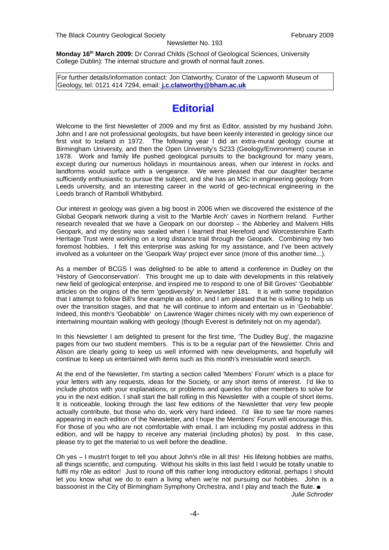**Monday 16th March 2009:** Dr Conrad Childs (School of Geological Sciences, University College Dublin): The internal structure and growth of normal fault zones.

For further details/information contact: Jon Clatworthy, Curator of the Lapworth Museum of Geology, tel: 0121 414 7294, email: **[j.c.clatworthy@bham.ac.uk](mailto:j.c.clatworthy@bham.ac.uk)**

# **Editorial**

Welcome to the first Newsletter of 2009 and my first as Editor, assisted by my husband John. John and I are not professional geologists, but have been keenly interested in geology since our first visit to Iceland in 1972. The following year I did an extra-mural geology course at Birmingham University, and then the Open University's S233 (Geology/Environment) course in 1978. Work and family life pushed geological pursuits to the background for many years, except during our numerous holidays in mountainous areas, when our interest in rocks and landforms would surface with a vengeance. We were pleased that our daughter became sufficiently enthusiastic to pursue the subject, and she has an MSc in engineering geology from Leeds university, and an interesting career in the world of geo-technical engineering in the Leeds branch of Ramboll Whitbybird.

Our interest in geology was given a big boost in 2006 when we discovered the existence of the Global Geopark network during a visit to the 'Marble Arch' caves in Northern Ireland. Further research revealed that we have a Geopark on our doorstep – the Abberley and Malvern Hills Geopark, and my destiny was sealed when I learned that Hereford and Worcestershire Earth Heritage Trust were working on a long distance trail through the Geopark. Combining my two foremost hobbies, I felt this enterprise was asking for my assistance, and I've been actively involved as a volunteer on the 'Geopark Way' project ever since (more of this another time...).

As a member of BCGS I was delighted to be able to attend a conference in Dudley on the 'History of Geoconservation'. This brought me up to date with developments in this relatively new field of geological enterprise, and inspired me to respond to one of Bill Groves' 'Geobabble' articles on the origins of the term 'geodiversity' in Newsletter 181. It is with some trepidation that I attempt to follow Bill's fine example as editor, and I am pleased that he is willing to help us over the transition stages, and that he will continue to inform and entertain us in 'Geobabble'. Indeed, this month's 'Geobabble' on Lawrence Wager chimes nicely with my own experience of intertwining mountain walking with geology (though Everest is definitely not on my agenda!).

In this Newsletter I am delighted to present for the first time, 'The Dudley Bug', the magazine pages from our two student members. This is to be a regular part of the Newsletter. Chris and Alison are clearly going to keep us well informed with new developments, and hopefully will continue to keep us entertained with items such as this month's irresistable word search.

At the end of the Newsletter, I'm starting a section called 'Members' Forum' which is a place for your letters with any requests, ideas for the Society, or any short items of interest. I'd like to include photos with your explanations, or problems and queries for other members to solve for you in the next edition. I shall start the ball rolling in this Newsletter with a couple of short items. It is noticeable, looking through the last few editions of the Newsletter that very few people actually contribute, but those who do, work very hard indeed. I'd like to see far more names appearing in each edition of the Newsletter, and I hope the Members' Forum will encourage this. For those of you who are not comfortable with email, I am including my postal address in this edition, and will be happy to receive any material (including photos) by post. In this case, please try to get the material to us well before the deadline.

Oh yes – I mustn't forget to tell you about John's rôle in all this! His lifelong hobbies are maths, all things scientific, and computing. Without his skills in this last field I would be totally unable to fulfil my rôle as editor! Just to round off this rather long introductory editorial, perhaps I should let you know what we do to earn a living when we're not pursuing our hobbies. John is a bassoonist in the City of Birmingham Symphony Orchestra, and I play and teach the flute. ■

*Julie Schroder*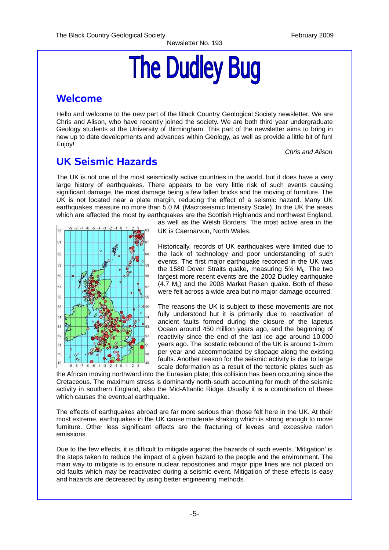# **The Dudley Bug**

# **Welcome**

Hello and welcome to the new part of the Black Country Geological Society newsletter. We are Chris and Alison, who have recently joined the society. We are both third year undergraduate Geology students at the University of Birmingham. This part of the newsletter aims to bring in new up to date developments and advances within Geology, as well as provide a little bit of fun! Enjoy!

*Chris and Alison*

# **UK Seismic Hazards**

The UK is not one of the most seismically active countries in the world, but it does have a very large history of earthquakes. There appears to be very little risk of such events causing significant damage, the most damage being a few fallen bricks and the moving of furniture. The UK is not located near a plate margin, reducing the effect of a seismic hazard. Many UK earthquakes measure no more than 5.0 M<sub>L</sub> (Macroseismic Intensity Scale). In the UK the areas which are affected the most by earthquakes are the Scottish Highlands and northwest England,



as well as the Welsh Borders. The most active area in the UK is Caernarvon, North Wales.

Historically, records of UK earthquakes were limited due to the lack of technology and poor understanding of such events. The first major earthquake recorded in the UK was the 1580 Dover Straits quake, measuring  $5\%$  ML. The two largest more recent events are the 2002 Dudley earthquake  $(4.7 \text{ M})$  and the 2008 Market Rasen quake. Both of these were felt across a wide area but no major damage occurred.

The reasons the UK is subject to these movements are not fully understood but it is primarily due to reactivation of ancient faults formed during the closure of the Iapetus Ocean around 450 million years ago, and the beginning of reactivity since the end of the last ice age around 10,000 years ago. The isostatic rebound of the UK is around 1-2mm per year and accommodated by slippage along the existing faults. Another reason for the seismic activity is due to large scale deformation as a result of the tectonic plates such as

the African moving northward into the Eurasian plate; this collision has been occurring since the Cretaceous. The maximum stress is dominantly north-south accounting for much of the seismic activity in southern England, also the Mid-Atlantic Ridge. Usually it is a combination of these which causes the eventual earthquake.

The effects of earthquakes abroad are far more serious than those felt here in the UK. At their most extreme, earthquakes in the UK cause moderate shaking which is strong enough to move furniture. Other less significant effects are the fracturing of levees and excessive radon emissions.

Due to the few effects, it is difficult to mitigate against the hazards of such events. 'Mitigation' is the steps taken to reduce the impact of a given hazard to the people and the environment. The main way to mitigate is to ensure nuclear repositories and major pipe lines are not placed on old faults which may be reactivated during a seismic event. Mitigation of these effects is easy and hazards are decreased by using better engineering methods.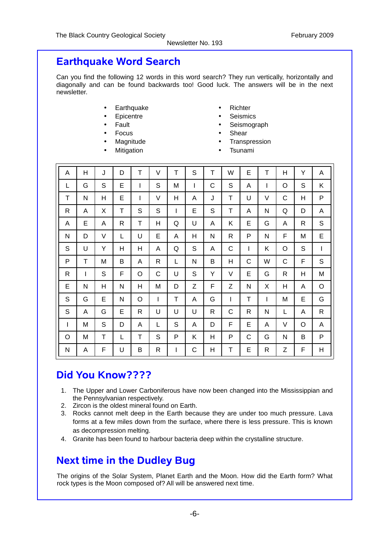# **Earthquake Word Search**

Can you find the following 12 words in this word search? They run vertically, horizontally and diagonally and can be found backwards too! Good luck. The answers will be in the next newsletter.

- Earthquake
- **Epicentre**
- **Fault**
- **Focus**
- **Magnitude**
- **Mitigation**
- Richter
- **Seismics**
- **Seismograph**
- **Shear**
- **Transpression**
- **Tsunami**

| A | Н | J      | D            | T            | V            | T | S            | T | W | E | T | Η            | Υ | Α           |
|---|---|--------|--------------|--------------|--------------|---|--------------|---|---|---|---|--------------|---|-------------|
| L | G | S      | E            | I            | S            | M | $\mathsf{I}$ | C | S | A | T | O            | S | Κ           |
| T | N | H      | Ε            | $\mathbf{I}$ | V            | н | Α            | J | T | U | V | C            | Н | P           |
| R | A | X      | T            | S            | S            | I | E            | S | T | A | N | Q            | D | A           |
| A | E | A      | $\mathsf{R}$ | T            | H            | Q | U            | Α | Κ | E | G | Α            | R | S           |
| N | D | $\vee$ | L            | U            | Ε            | A | Η            | N | R | P | N | F            | M | E           |
| S | U | Y      | Н            | H            | A            | Q | S            | A | C | I | Κ | O            | S | T           |
| P | T | M      | B            | A            | $\mathsf{R}$ | L | N            | B | Η | С | W | С            | F | S           |
| R | T | S      | F            | O            | C            | U | S            | Y | V | E | G | $\mathsf{R}$ | Н | M           |
| E | N | H      | ${\sf N}$    | H            | M            | D | Z            | F | Z | N | X | Η            | A | O           |
| S | G | E      | N            | O            | I            | Τ | A            | G | I | Τ | T | M            | E | G           |
| S | A | G      | E            | R            | U            | U | U            | R | C | R | N | L            | A | $\mathsf R$ |
| T | M | S      | D            | A            | L            | S | Α            | D | F | E | A | V            | O | A           |
| O | М | T      | L            | Τ            | S            | P | Κ            | Η | P | С | G | N            | B | P           |
| N | Α | F      | U            | B            | $\mathsf{R}$ | I | C            | Η | Τ | E | R | Ζ            | F | Н           |

# **Did You Know????**

- 1. The Upper and Lower Carboniferous have now been changed into the Mississippian and the Pennsylvanian respectively.
- 2. Zircon is the oldest mineral found on Earth.
- 3. Rocks cannot melt deep in the Earth because they are under too much pressure. Lava forms at a few miles down from the surface, where there is less pressure. This is known as decompression melting.
- 4. Granite has been found to harbour bacteria deep within the crystalline structure.

# **Next time in the Dudley Bug**

The origins of the Solar System, Planet Earth and the Moon. How did the Earth form? What rock types is the Moon composed of? All will be answered next time.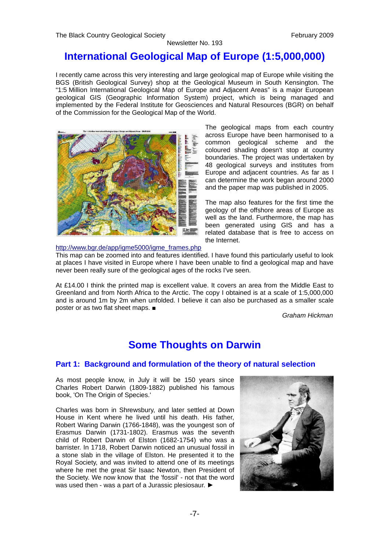# **International Geological Map of Europe (1:5,000,000)**

I recently came across this very interesting and large geological map of Europe while visiting the BGS (British Geological Survey) shop at the Geological Museum in South Kensington. The "1:5 Million International Geological Map of Europe and Adjacent Areas" is a major European geological GIS (Geographic Information System) project, which is being managed and implemented by the Federal Institute for Geosciences and Natural Resources (BGR) on behalf of the Commission for the Geological Map of the World.



The geological maps from each country across Europe have been harmonised to a common geological scheme and the coloured shading doesn't stop at country boundaries. The project was undertaken by 48 geological surveys and institutes from Europe and adjacent countries. As far as I can determine the work began around 2000 and the paper map was published in 2005.

The map also features for the first time the geology of the offshore areas of Europe as well as the land. Furthermore, the map has been generated using GIS and has a related database that is free to access on the Internet.

### [http://www.bgr.de/app/igme5000/igme\\_frames.php](http://www.bgr.de/app/igme5000/igme_frames.php)

This map can be zoomed into and features identified. I have found this particularly useful to look at places I have visited in Europe where I have been unable to find a geological map and have never been really sure of the geological ages of the rocks I've seen.

At £14.00 I think the printed map is excellent value. It covers an area from the Middle East to Greenland and from North Africa to the Arctic. The copy I obtained is at a scale of 1:5,000,000 and is around 1m by 2m when unfolded. I believe it can also be purchased as a smaller scale poster or as two flat sheet maps. ■

*Graham Hickman*

# **Some Thoughts on Darwin**

### **Part 1: Background and formulation of the theory of natural selection**

As most people know, in July it will be 150 years since Charles Robert Darwin (1809-1882) published his famous book, 'On The Origin of Species.'

Charles was born in Shrewsbury, and later settled at Down House in Kent where he lived until his death. His father, Robert Waring Darwin (1766-1848), was the youngest son of Erasmus Darwin (1731-1802). Erasmus was the seventh child of Robert Darwin of Elston (1682-1754) who was a barrister. In 1718, Robert Darwin noticed an unusual fossil in a stone slab in the village of Elston. He presented it to the Royal Society, and was invited to attend one of its meetings where he met the great Sir Isaac Newton, then President of the Society. We now know that the 'fossil' - not that the word was used then - was a part of a Jurassic plesiosaur. ►

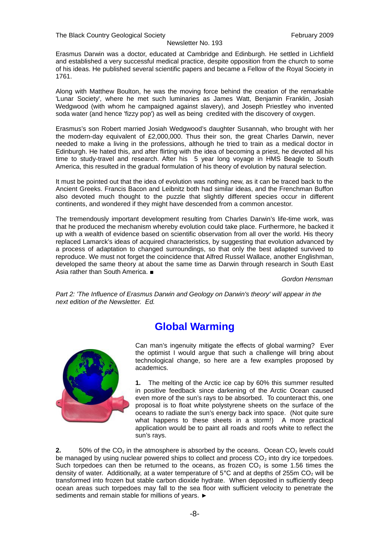Erasmus Darwin was a doctor, educated at Cambridge and Edinburgh. He settled in Lichfield and established a very successful medical practice, despite opposition from the church to some of his ideas. He published several scientific papers and became a Fellow of the Royal Society in 1761.

Along with Matthew Boulton, he was the moving force behind the creation of the remarkable 'Lunar Society', where he met such luminaries as James Watt, Benjamin Franklin, Josiah Wedgwood (with whom he campaigned against slavery), and Joseph Priestley who invented soda water (and hence 'fizzy pop') as well as being credited with the discovery of oxygen.

Erasmus's son Robert married Josiah Wedgwood's daughter Susannah, who brought with her the modern-day equivalent of £2,000,000. Thus their son, the great Charles Darwin, never needed to make a living in the professions, although he tried to train as a medical doctor in Edinburgh. He hated this, and after flirting with the idea of becoming a priest, he devoted all his time to study-travel and research. After his 5 year long voyage in HMS Beagle to South America, this resulted in the gradual formulation of his theory of evolution by natural selection.

It must be pointed out that the idea of evolution was nothing new, as it can be traced back to the Ancient Greeks. Francis Bacon and Leibnitz both had similar ideas, and the Frenchman Buffon also devoted much thought to the puzzle that slightly different species occur in different continents, and wondered if they might have descended from a common ancestor.

The tremendously important development resulting from Charles Darwin's life-time work, was that he produced the mechanism whereby evolution could take place. Furthermore, he backed it up with a wealth of evidence based on scientific observation from all over the world. His theory replaced Lamarck's ideas of acquired characteristics, by suggesting that evolution advanced by a process of adaptation to changed surroundings, so that only the best adapted survived to reproduce. We must not forget the coincidence that Alfred Russel Wallace, another Englishman, developed the same theory at about the same time as Darwin through research in South East Asia rather than South America. ■

*Gordon Hensman*

*Part 2: 'The Influence of Erasmus Darwin and Geology on Darwin's theory' will appear in the next edition of the Newsletter. Ed.*

# **Global Warming**



Can man's ingenuity mitigate the effects of global warming? Ever the optimist I would argue that such a challenge will bring about technological change, so here are a few examples proposed by academics.

**1.** The melting of the Arctic ice cap by 60% this summer resulted in positive feedback since darkening of the Arctic Ocean caused even more of the sun's rays to be absorbed. To counteract this, one proposal is to float white polystyrene sheets on the surface of the oceans to radiate the sun's energy back into space. (Not quite sure what happens to these sheets in a storm!) A more practical application would be to paint all roads and roofs white to reflect the sun's rays.

**2.** 50% of the  $CO<sub>2</sub>$  in the atmosphere is absorbed by the oceans. Ocean  $CO<sub>2</sub>$  levels could be managed by using nuclear powered ships to collect and process  $CO<sub>2</sub>$  into dry ice torpedoes. Such torpedoes can then be returned to the oceans, as frozen  $CO<sub>2</sub>$  is some 1.56 times the density of water. Additionally, at a water temperature of  $5^{\circ}$ C and at depths of 255m CO<sub>2</sub> will be transformed into frozen but stable carbon dioxide hydrate. When deposited in sufficiently deep ocean areas such torpedoes may fall to the sea floor with sufficient velocity to penetrate the sediments and remain stable for millions of years. ►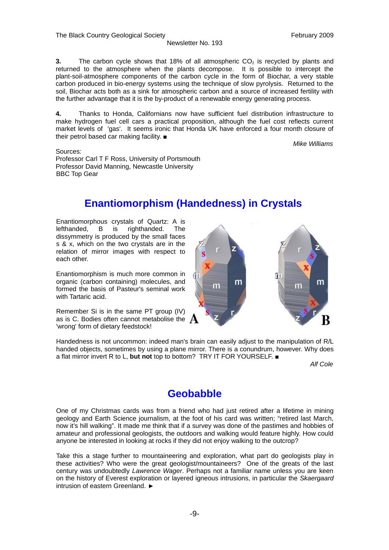**3.** The carbon cycle shows that  $18\%$  of all atmospheric  $CO<sub>2</sub>$  is recycled by plants and returned to the atmosphere when the plants decompose. It is possible to intercept the plant-soil-atmosphere components of the carbon cycle in the form of Biochar, a very stable carbon produced in bio-energy systems using the technique of slow pyrolysis. Returned to the soil, Biochar acts both as a sink for atmospheric carbon and a source of increased fertility with the further advantage that it is the by-product of a renewable energy generating process.

**4.** Thanks to Honda, Californians now have sufficient fuel distribution infrastructure to make hydrogen fuel cell cars a practical proposition, although the fuel cost reflects current market levels of 'gas'. It seems ironic that Honda UK have enforced a four month closure of their petrol based car making facility. ■

*Mike Williams*

Sources: Professor Carl T F Ross, University of Portsmouth Professor David Manning, Newcastle University BBC Top Gear

# **Enantiomorphism (Handedness) in Crystals**

Enantiomorphous crystals of Quartz: A is lefthanded, B is righthanded. The dissymmetry is produced by the small faces s & x, which on the two crystals are in the relation of mirror images with respect to each other.

Enantiomorphism is much more common in organic (carbon containing) molecules, and formed the basis of Pasteur's seminal work with Tartaric acid.

Remember Si is in the same PT group (IV) as is C. Bodies often cannot metabolise the  $\,$  A 'wrong' form of dietary feedstock!



Handedness is not uncommon: indeed man's brain can easily adjust to the manipulation of R/L handed objects, sometimes by using a plane mirror. There is a conundrum, however. Why does a flat mirror invert R to L, **but not** top to bottom? TRY IT FOR YOURSELF. ■

*Alf Cole*

# **Geobabble**

One of my Christmas cards was from a friend who had just retired after a lifetime in mining geology and Earth Science journalism, at the foot of his card was written; "retired last March, now it's hill walking". It made me think that if a survey was done of the pastimes and hobbies of amateur and professional geologists, the outdoors and walking would feature highly. How could anyone be interested in looking at rocks if they did not enjoy walking to the outcrop?

Take this a stage further to mountaineering and exploration, what part do geologists play in these activities? Who were the great geologist/mountaineers? One of the greats of the last century was undoubtedly *Lawrence Wager*. Perhaps not a familiar name unless you are keen on the history of Everest exploration or layered igneous intrusions, in particular the *Skaergaard* intrusion of eastern Greenland. ►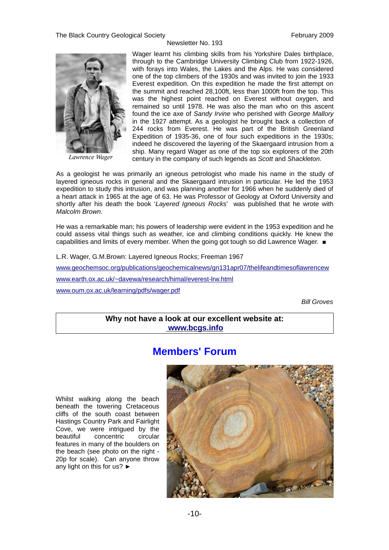

*Lawrence Wager*

Wager learnt his climbing skills from his Yorkshire Dales birthplace, through to the Cambridge University Climbing Club from 1922-1926, with forays into Wales, the Lakes and the Alps. He was considered one of the top climbers of the 1930s and was invited to join the 1933 Everest expedition. On this expedition he made the first attempt on the summit and reached 28,100ft, less than 1000ft from the top. This was the highest point reached on Everest without oxygen, and remained so until 1978. He was also the man who on this ascent found the ice axe of *Sandy Irvine* who perished with *George Mallory* in the 1927 attempt. As a geologist he brought back a collection of 244 rocks from Everest. He was part of the British Greenland Expedition of 1935-36, one of four such expeditions in the 1930s; indeed he discovered the layering of the Skaergaard intrusion from a ship. Many regard Wager as one of the top six explorers of the 20th century in the company of such legends as *Scott* and *Shackleton*.

As a geologist he was primarily an igneous petrologist who made his name in the study of layered igneous rocks in general and the Skaergaard intrusion in particular. He led the 1953 expedition to study this intrusion, and was planning another for 1966 when he suddenly died of a heart attack in 1965 at the age of 63. He was Professor of Geology at Oxford University and shortly after his death the book '*Layered Igneous Rocks*' was published that he wrote with *Malcolm Brown*.

He was a remarkable man; his powers of leadership were evident in the 1953 expedition and he could assess vital things such as weather, ice and climbing conditions quickly. He knew the capabilities and limits of every member. When the going got tough so did Lawrence Wager. ■

L.R. Wager, G.M.Brown: Layered Igneous Rocks; Freeman 1967

[www.geochemsoc.org/publications/geochemicalnews/gn131apr07/thelifeandtimesoflawrencew](http://www.geochemsoc.org/publications/geochemicalnews/gn131apr07/thelifeandtimesoflawrencew) [www.earth.ox.ac.uk/~davewa/research/himal/everest-lrw.html](http://www.earth.ox.ac.uk/~davewa/research/himal/everest-lrw.html) [www.oum.ox.ac.uk/learning/pdfs/wager.pdf](http://www.oum.ox.ac.uk/learning/pdfs/wager.pdf)

*Bill Groves*

**Why not have a look at our excellent website at:  [www.bcgs.info](http://www.bcgs.info/)**

## **Members' Forum**

Whilst walking along the beach beneath the towering Cretaceous cliffs of the south coast between Hastings Country Park and Fairlight Cove, we were intrigued by the beautiful concentric circular features in many of the boulders on the beach (see photo on the right - 20p for scale). Can anyone throw any light on this for us? ►

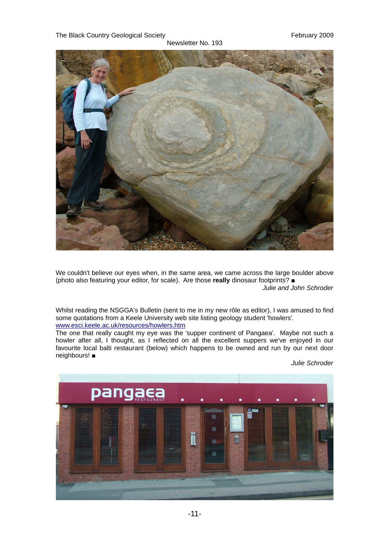The Black Country Geological Society **February 2009** 

Newsletter No. 193



We couldn't believe our eyes when, in the same area, we came across the large boulder above (photo also featuring your editor, for scale). Are those **really** dinosaur footprints? ■

*Julie and John Schroder*

Whilst reading the NSGGA's Bulletin (sent to me in my new rôle as editor), I was amused to find some quotations from a Keele University web site listing geology student 'howlers'. [www.esci.keele.ac.uk/resources/howlers.htm](http://www.esci.keele.ac.uk/resources/howlers.htm)

The one that really caught my eye was the 'supper continent of Pangaea'. Maybe not such a howler after all, I thought, as I reflected on all the excellent suppers we've enjoyed in our favourite local balti restaurant (below) which happens to be owned and run by our next door neighbours! ■

*Julie Schroder*